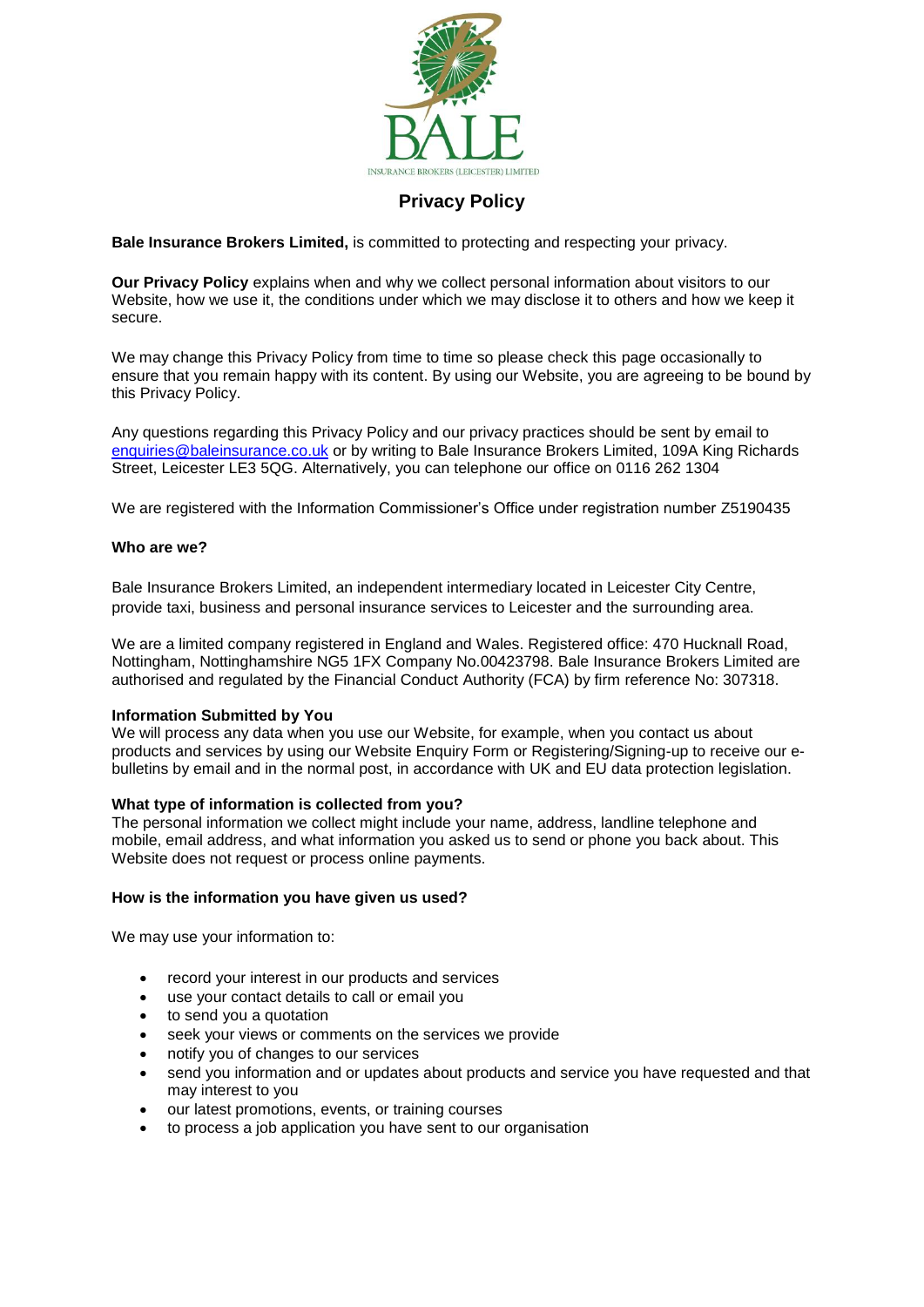

# **Privacy Policy**

**Bale Insurance Brokers Limited,** is committed to protecting and respecting your privacy.

**Our Privacy Policy** explains when and why we collect personal information about visitors to our Website, how we use it, the conditions under which we may disclose it to others and how we keep it secure.

We may change this Privacy Policy from time to time so please check this page occasionally to ensure that you remain happy with its content. By using our Website, you are agreeing to be bound by this Privacy Policy.

Any questions regarding this Privacy Policy and our privacy practices should be sent by email to [enquiries@baleinsurance.co.uk](mailto:enquiries@baleinsurance.co.uk) or by writing to Bale Insurance Brokers Limited, 109A King Richards Street, Leicester LE3 5QG. Alternatively, you can telephone our office on 0116 262 1304

We are registered with the Information Commissioner's Office under registration number Z5190435

# **Who are we?**

Bale Insurance Brokers Limited, an independent intermediary located in Leicester City Centre, provide taxi, business and personal insurance services to Leicester and the surrounding area.

We are a limited company registered in England and Wales. Registered office: 470 Hucknall Road, Nottingham, Nottinghamshire NG5 1FX Company No.00423798. Bale Insurance Brokers Limited are authorised and regulated by the Financial Conduct Authority (FCA) by firm reference No: 307318.

#### **Information Submitted by You**

We will process any data when you use our Website, for example, when you contact us about products and services by using our Website Enquiry Form or Registering/Signing-up to receive our ebulletins by email and in the normal post, in accordance with UK and EU data protection legislation.

# **What type of information is collected from you?**

The personal information we collect might include your name, address, landline telephone and mobile, email address, and what information you asked us to send or phone you back about. This Website does not request or process online payments.

# **How is the information you have given us used?**

We may use your information to:

- record your interest in our products and services
- use your contact details to call or email you
- to send you a quotation
- seek your views or comments on the services we provide
- notify you of changes to our services
- send you information and or updates about products and service you have requested and that may interest to you
- our latest promotions, events, or training courses
- to process a job application you have sent to our organisation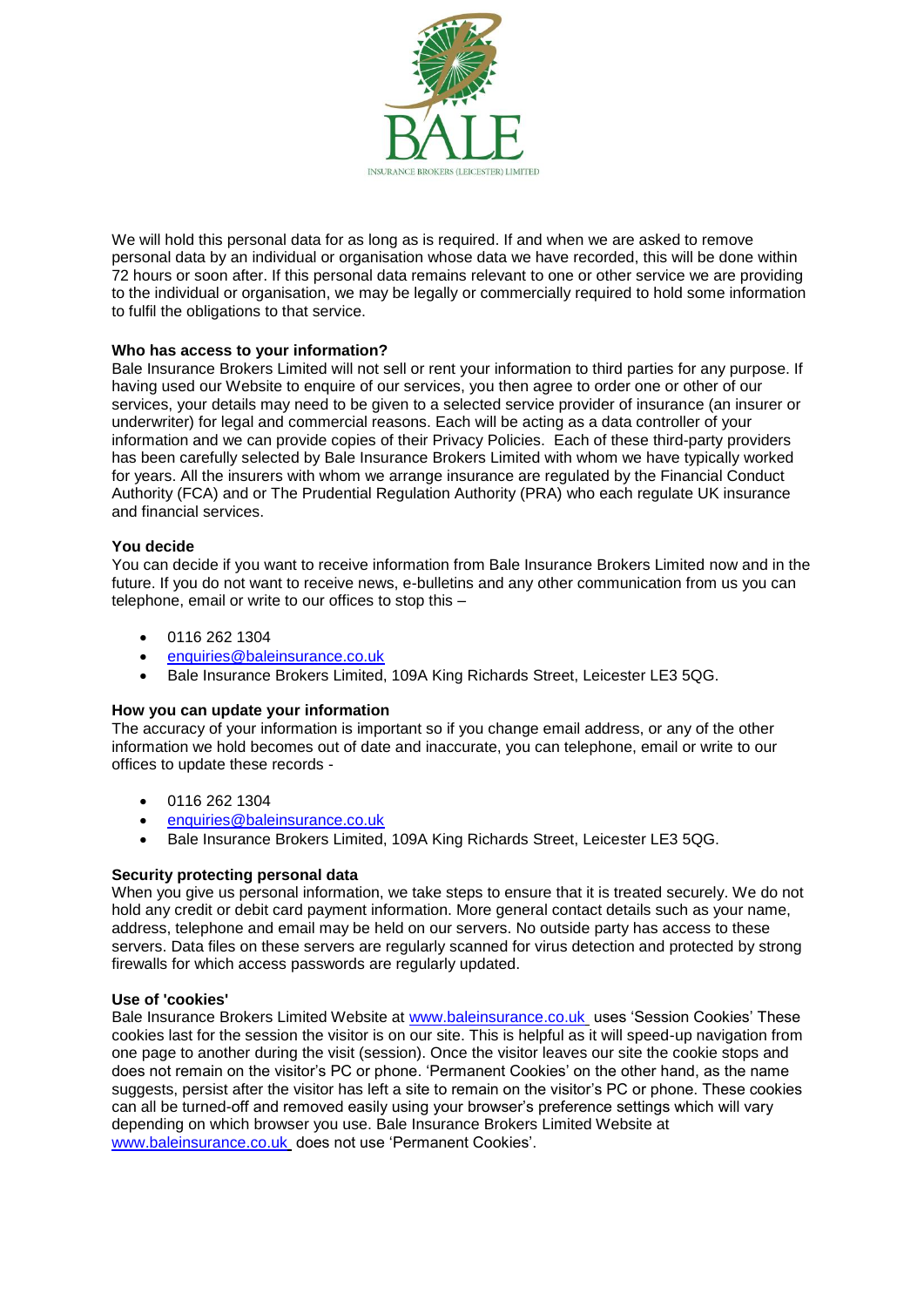

We will hold this personal data for as long as is required. If and when we are asked to remove personal data by an individual or organisation whose data we have recorded, this will be done within 72 hours or soon after. If this personal data remains relevant to one or other service we are providing to the individual or organisation, we may be legally or commercially required to hold some information to fulfil the obligations to that service.

# **Who has access to your information?**

Bale Insurance Brokers Limited will not sell or rent your information to third parties for any purpose. If having used our Website to enquire of our services, you then agree to order one or other of our services, your details may need to be given to a selected service provider of insurance (an insurer or underwriter) for legal and commercial reasons. Each will be acting as a data controller of your information and we can provide copies of their Privacy Policies. Each of these third-party providers has been carefully selected by Bale Insurance Brokers Limited with whom we have typically worked for years. All the insurers with whom we arrange insurance are regulated by the Financial Conduct Authority (FCA) and or The Prudential Regulation Authority (PRA) who each regulate UK insurance and financial services.

#### **You decide**

You can decide if you want to receive information from Bale Insurance Brokers Limited now and in the future. If you do not want to receive news, e-bulletins and any other communication from us you can telephone, email or write to our offices to stop this –

- 0116 262 1304
- enquiries@baleinsurance.co.uk
- Bale Insurance Brokers Limited, 109A King Richards Street, Leicester LE3 5QG.

#### **How you can update your information**

The accuracy of your information is important so if you change email address, or any of the other information we hold becomes out of date and inaccurate, you can telephone, email or write to our offices to update these records -

- 0116 262 1304
- [enquiries@baleinsurance.co.uk](mailto:enquiries@baleinsurance.co.uk)
- Bale Insurance Brokers Limited, 109A King Richards Street, Leicester LE3 5QG.

#### **Security protecting personal data**

When you give us personal information, we take steps to ensure that it is treated securely. We do not hold any credit or debit card payment information. More general contact details such as your name, address, telephone and email may be held on our servers. No outside party has access to these servers. Data files on these servers are regularly scanned for virus detection and protected by strong firewalls for which access passwords are regularly updated.

#### **Use of 'cookies'**

Bale Insurance Brokers Limited Website at [www.baleinsurance.co.uk](http://www.baleinsurance.co.uk/) uses 'Session Cookies' These cookies last for the session the visitor is on our site. This is helpful as it will speed-up navigation from one page to another during the visit (session). Once the visitor leaves our site the cookie stops and does not remain on the visitor's PC or phone. 'Permanent Cookies' on the other hand, as the name suggests, persist after the visitor has left a site to remain on the visitor's PC or phone. These cookies can all be turned-off and removed easily using your browser's preference settings which will vary depending on which browser you use. Bale Insurance Brokers Limited Website at [www.baleinsurance.co.uk](http://www.baleinsurance.co.uk/) does not use 'Permanent Cookies'.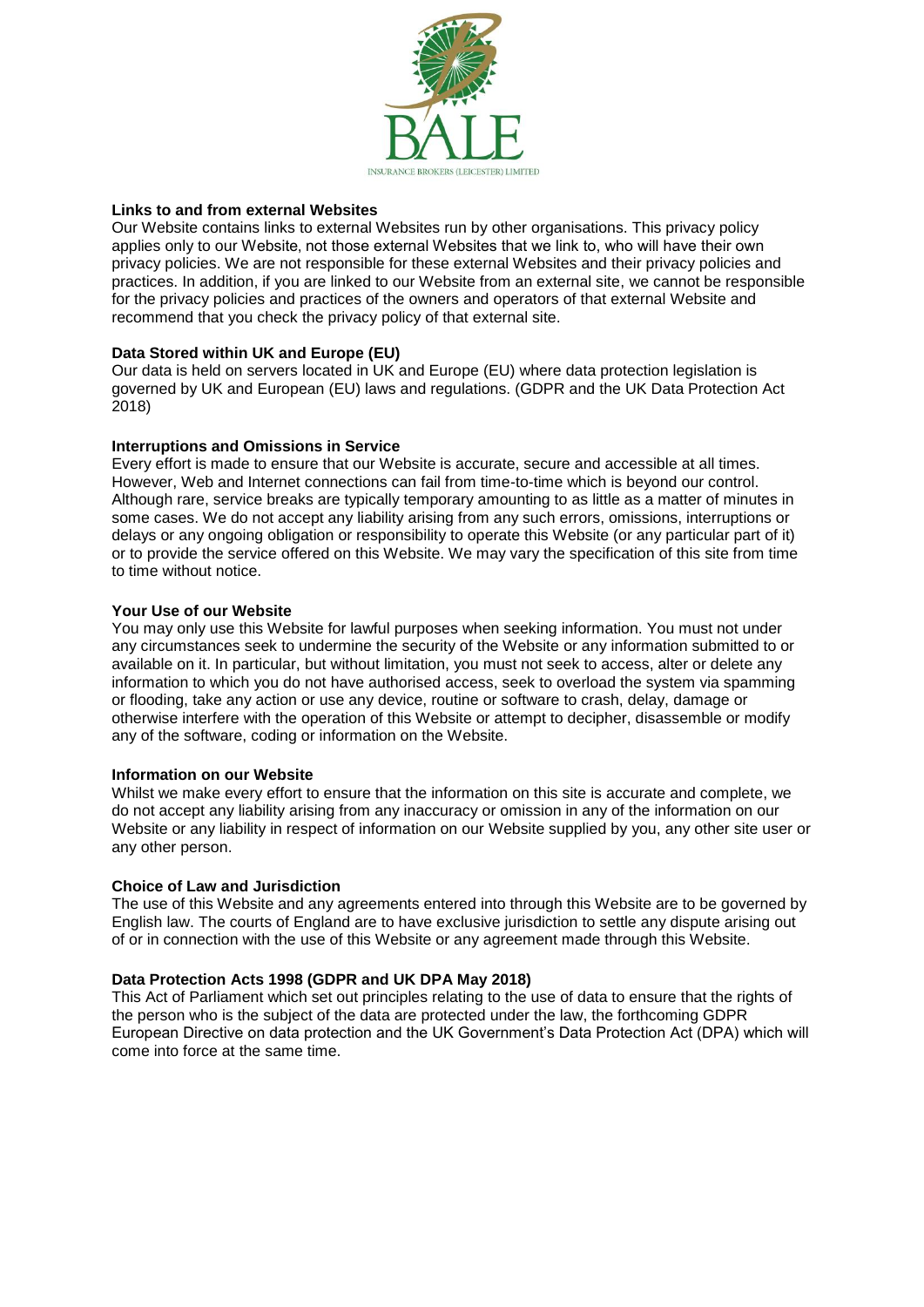

# **Links to and from external Websites**

Our Website contains links to external Websites run by other organisations. This privacy policy applies only to our Website, not those external Websites that we link to, who will have their own privacy policies. We are not responsible for these external Websites and their privacy policies and practices. In addition, if you are linked to our Website from an external site, we cannot be responsible for the privacy policies and practices of the owners and operators of that external Website and recommend that you check the privacy policy of that external site.

# **Data Stored within UK and Europe (EU)**

Our data is held on servers located in UK and Europe (EU) where data protection legislation is governed by UK and European (EU) laws and regulations. (GDPR and the UK Data Protection Act 2018)

# **Interruptions and Omissions in Service**

Every effort is made to ensure that our Website is accurate, secure and accessible at all times. However, Web and Internet connections can fail from time-to-time which is beyond our control. Although rare, service breaks are typically temporary amounting to as little as a matter of minutes in some cases. We do not accept any liability arising from any such errors, omissions, interruptions or delays or any ongoing obligation or responsibility to operate this Website (or any particular part of it) or to provide the service offered on this Website. We may vary the specification of this site from time to time without notice.

# **Your Use of our Website**

You may only use this Website for lawful purposes when seeking information. You must not under any circumstances seek to undermine the security of the Website or any information submitted to or available on it. In particular, but without limitation, you must not seek to access, alter or delete any information to which you do not have authorised access, seek to overload the system via spamming or flooding, take any action or use any device, routine or software to crash, delay, damage or otherwise interfere with the operation of this Website or attempt to decipher, disassemble or modify any of the software, coding or information on the Website.

#### **Information on our Website**

Whilst we make every effort to ensure that the information on this site is accurate and complete, we do not accept any liability arising from any inaccuracy or omission in any of the information on our Website or any liability in respect of information on our Website supplied by you, any other site user or any other person.

#### **Choice of Law and Jurisdiction**

The use of this Website and any agreements entered into through this Website are to be governed by English law. The courts of England are to have exclusive jurisdiction to settle any dispute arising out of or in connection with the use of this Website or any agreement made through this Website.

#### **Data Protection Acts 1998 (GDPR and UK DPA May 2018)**

This Act of Parliament which set out principles relating to the use of data to ensure that the rights of the person who is the subject of the data are protected under the law, the forthcoming GDPR European Directive on data protection and the UK Government's Data Protection Act (DPA) which will come into force at the same time.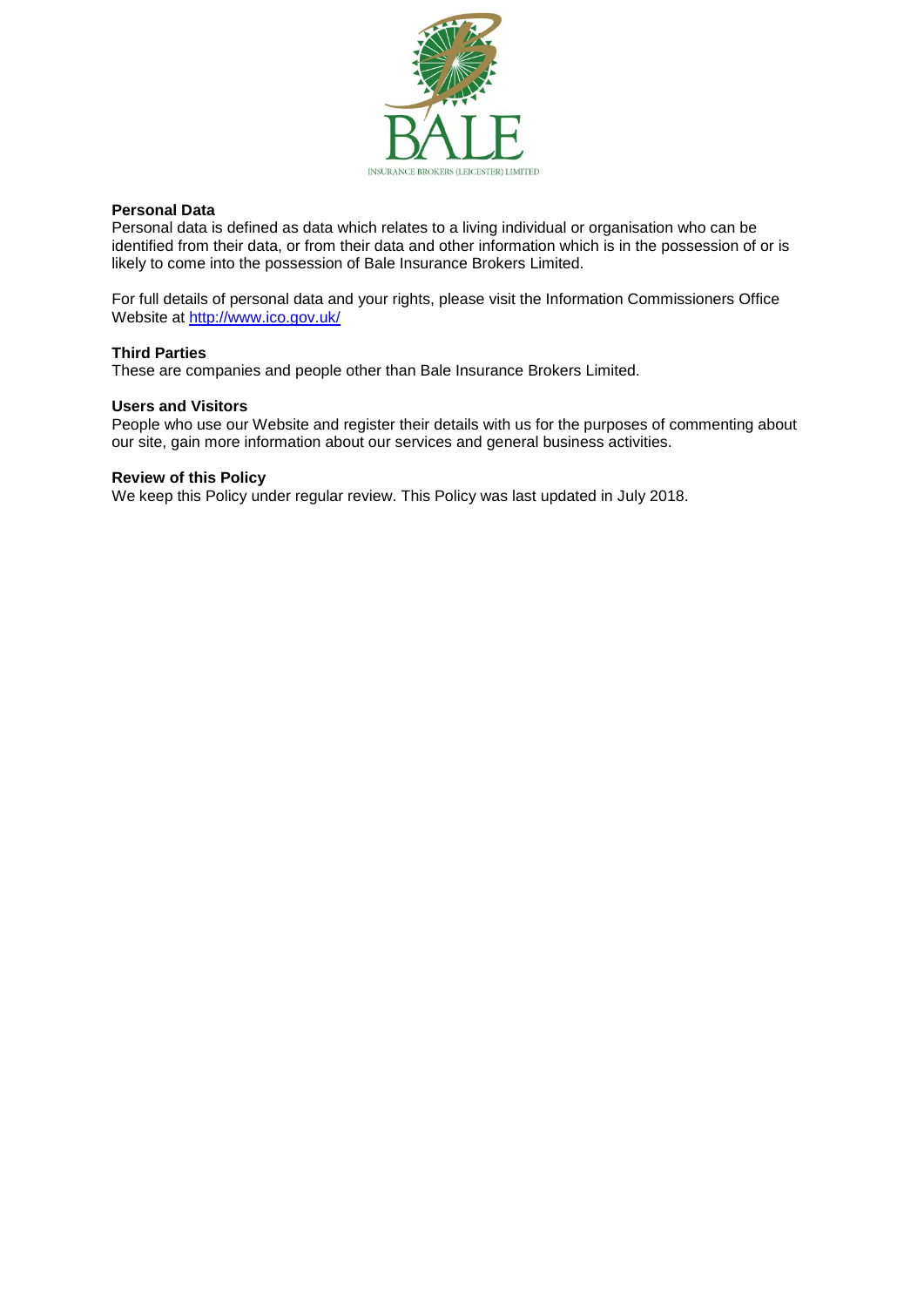

# **Personal Data**

Personal data is defined as data which relates to a living individual or organisation who can be identified from their data, or from their data and other information which is in the possession of or is likely to come into the possession of Bale Insurance Brokers Limited.

For full details of personal data and your rights, please visit the Information Commissioners Office Website at<http://www.ico.gov.uk/>

# **Third Parties**

These are companies and people other than Bale Insurance Brokers Limited.

### **Users and Visitors**

People who use our Website and register their details with us for the purposes of commenting about our site, gain more information about our services and general business activities.

# **Review of this Policy**

We keep this Policy under regular review. This Policy was last updated in July 2018.